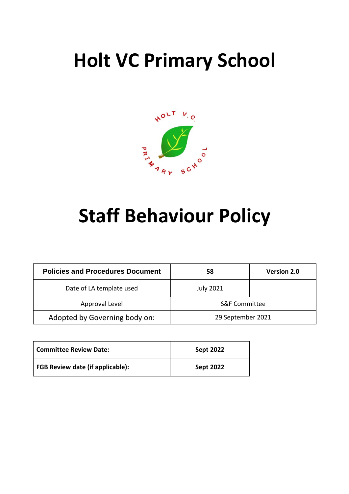# **Holt VC Primary School**



# **Staff Behaviour Policy**

| <b>Policies and Procedures Document</b> | 58                       | <b>Version 2.0</b> |
|-----------------------------------------|--------------------------|--------------------|
| Date of LA template used                | <b>July 2021</b>         |                    |
| Approval Level                          | <b>S&amp;F Committee</b> |                    |
| Adopted by Governing body on:           | 29 September 2021        |                    |

| <b>Committee Review Date:</b>           | <b>Sept 2022</b> |
|-----------------------------------------|------------------|
| <b>FGB Review date (if applicable):</b> | <b>Sept 2022</b> |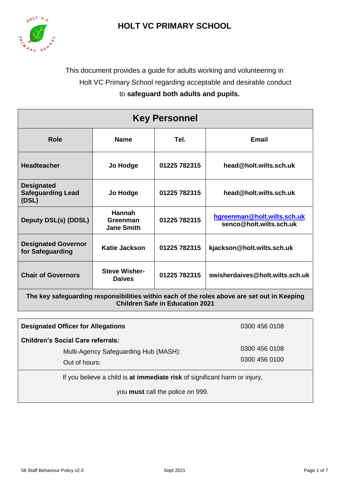## **HOLT VC PRIMARY SCHOOL**



## This document provides a guide for adults working and volunteering in Holt VC Primary School regarding acceptable and desirable conduct to **safeguard both adults and pupils.**

| <b>Key Personnel</b>                                                                                                                  |                                                |              |                                                        |  |
|---------------------------------------------------------------------------------------------------------------------------------------|------------------------------------------------|--------------|--------------------------------------------------------|--|
| Role                                                                                                                                  | <b>Name</b>                                    | Tel.         | Email                                                  |  |
| <b>Headteacher</b>                                                                                                                    | Jo Hodge                                       | 01225 782315 | head@holt.wilts.sch.uk                                 |  |
| <b>Designated</b><br><b>Safeguarding Lead</b><br>(DSL)                                                                                | Jo Hodge                                       | 01225 782315 | head@holt.wilts.sch.uk                                 |  |
| Deputy DSL(s) (DDSL)                                                                                                                  | <b>Hannah</b><br>Greenman<br><b>Jane Smith</b> | 01225 782315 | hgreenman@holt.wilts.sch.uk<br>senco@holt.wilts.sch.uk |  |
| <b>Designated Governor</b><br>for Safeguarding                                                                                        | <b>Katie Jackson</b>                           | 01225 782315 | kjackson@holt.wilts.sch.uk                             |  |
| <b>Chair of Governors</b>                                                                                                             | <b>Steve Wisher-</b><br><b>Daives</b>          | 01225 782315 | swisherdaives@holt.wilts.sch.uk                        |  |
| The key safeguarding responsibilities within each of the roles above are set out in Keeping<br><b>Children Safe in Education 2021</b> |                                                |              |                                                        |  |

| <b>Designated Officer for Allegations</b>                                                          | 0300 456 0108                  |  |  |  |
|----------------------------------------------------------------------------------------------------|--------------------------------|--|--|--|
| <b>Children's Social Care referrals:</b><br>Multi-Agency Safeguarding Hub (MASH):<br>Out of hours: | 0300 456 0108<br>0300 456 0100 |  |  |  |
| If you believe a child is at immediate risk of significant harm or injury,                         |                                |  |  |  |
| you must call the police on 999.                                                                   |                                |  |  |  |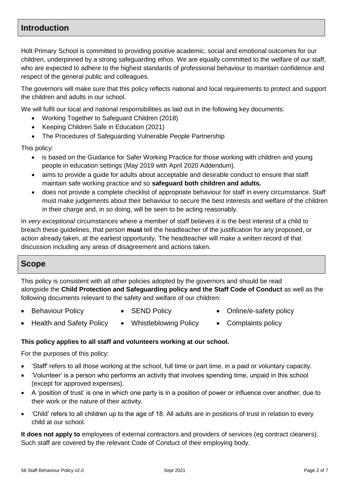## **Introduction**

Holt Primary School is committed to providing positive academic, social and emotional outcomes for our children, underpinned by a strong safeguarding ethos. We are equally committed to the welfare of our staff, who are expected to adhere to the highest standards of professional behaviour to maintain confidence and respect of the general public and colleagues.

The governors will make sure that this policy reflects national and local requirements to protect and support the children and adults in our school.

We will fulfil our local and national responsibilities as laid out in the following key documents:

- Working Together to Safeguard Children (2018)
- Keeping Children Safe in Education (2021)
- The Procedures of Safeguarding Vulnerable People Partnership

This policy:

- is based on the Guidance for Safer Working Practice for those working with children and young people in education settings (May 2019 with April 2020 Addendum).
- aims to provide a guide for adults about acceptable and desirable conduct to ensure that staff maintain safe working practice and so **safeguard both children and adults.**
- does not provide a complete checklist of appropriate behaviour for staff in every circumstance. Staff must make judgements about their behaviour to secure the best interests and welfare of the children in their charge and, in so doing, will be seen to be acting reasonably.

In *very exceptional* circumstances where a member of staff believes it is the best interest of a child to breach these guidelines, that person **must** tell the headteacher of the justification for any proposed, or action already taken, at the earliest opportunity. The headteacher will make a written record of that discussion including any areas of disagreement and actions taken.

## **Scope**

This policy is consistent with all other policies adopted by the governors and should be read alongside the **Child Protection and Safeguarding policy and the Staff Code of Conduct** as well as the following documents relevant to the safety and welfare of our children:

- 
- 
- Behaviour Policy SEND Policy Online/e-safety policy
- Health and Safety Policy Whistleblowing Policy Complaints policy
- 
- 

#### **This policy applies to all staff and volunteers working at our school.**

For the purposes of this policy:

- 'Staff' refers to all those working at the school, full time or part time, in a paid or voluntary capacity.
- 'Volunteer' is a person who performs an activity that involves spending time, unpaid in this school (except for approved expenses).
- A 'position of trust' is one in which one party is in a position of power or influence over another, due to their work or the nature of their activity.
- 'Child' refers to all children up to the age of 18. All adults are in positions of trust in relation to every child at our school.

**It does not apply to** employees of external contractors and providers of services (eg contract cleaners). Such staff are covered by the relevant Code of Conduct of their employing body.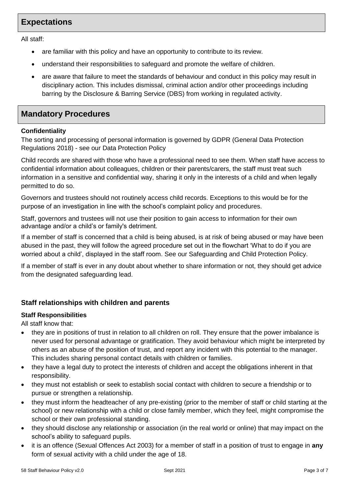## **Expectations**

All staff:

- are familiar with this policy and have an opportunity to contribute to its review.
- understand their responsibilities to safeguard and promote the welfare of children.
- are aware that failure to meet the standards of behaviour and conduct in this policy may result in disciplinary action. This includes dismissal, criminal action and/or other proceedings including barring by the Disclosure & Barring Service (DBS) from working in regulated activity.

### **Mandatory Procedures**

#### **Confidentiality**

The sorting and processing of personal information is governed by GDPR (General Data Protection Regulations 2018) - see our Data Protection Policy

Child records are shared with those who have a professional need to see them. When staff have access to confidential information about colleagues, children or their parents/carers, the staff must treat such information in a sensitive and confidential way, sharing it only in the interests of a child and when legally permitted to do so.

Governors and trustees should not routinely access child records. Exceptions to this would be for the purpose of an investigation in line with the school's complaint policy and procedures.

Staff, governors and trustees will not use their position to gain access to information for their own advantage and/or a child's or family's detriment.

If a member of staff is concerned that a child is being abused, is at risk of being abused or may have been abused in the past, they will follow the agreed procedure set out in the flowchart 'What to do if you are worried about a child', displayed in the staff room. See our Safeguarding and Child Protection Policy.

If a member of staff is ever in any doubt about whether to share information or not, they should get advice from the designated safeguarding lead.

#### **Staff relationships with children and parents**

#### **Staff Responsibilities**

All staff know that:

- they are in positions of trust in relation to all children on roll. They ensure that the power imbalance is never used for personal advantage or gratification. They avoid behaviour which might be interpreted by others as an abuse of the position of trust, and report any incident with this potential to the manager. This includes sharing personal contact details with children or families.
- they have a legal duty to protect the interests of children and accept the obligations inherent in that responsibility.
- they must not establish or seek to establish social contact with children to secure a friendship or to pursue or strengthen a relationship.
- they must inform the headteacher of any pre-existing (prior to the member of staff or child starting at the school) or new relationship with a child or close family member, which they feel, might compromise the school or their own professional standing.
- they should disclose any relationship or association (in the real world or online) that may impact on the school's ability to safeguard pupils.
- it is an offence (Sexual Offences Act 2003) for a member of staff in a position of trust to engage in **any** form of sexual activity with a child under the age of 18.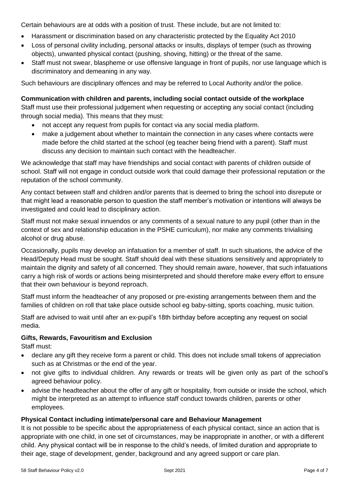Certain behaviours are at odds with a position of trust. These include, but are not limited to:

- Harassment or discrimination based on any characteristic protected by the Equality Act 2010
- Loss of personal civility including, personal attacks or insults, displays of temper (such as throwing objects), unwanted physical contact (pushing, shoving, hitting) or the threat of the same.
- Staff must not swear, blaspheme or use offensive language in front of pupils, nor use language which is discriminatory and demeaning in any way.

Such behaviours are disciplinary offences and may be referred to Local Authority and/or the police.

#### **Communication with children and parents, including social contact outside of the workplace**

Staff must use their professional judgement when requesting or accepting any social contact (including through social media). This means that they must:

- not accept any request from pupils for contact via any social media platform.
- make a judgement about whether to maintain the connection in any cases where contacts were made before the child started at the school (eg teacher being friend with a parent). Staff must discuss any decision to maintain such contact with the headteacher.

We acknowledge that staff may have friendships and social contact with parents of children outside of school. Staff will not engage in conduct outside work that could damage their professional reputation or the reputation of the school community.

Any contact between staff and children and/or parents that is deemed to bring the school into disrepute or that might lead a reasonable person to question the staff member's motivation or intentions will always be investigated and could lead to disciplinary action.

Staff must not make sexual innuendos or any comments of a sexual nature to any pupil (other than in the context of sex and relationship education in the PSHE curriculum), nor make any comments trivialising alcohol or drug abuse.

Occasionally, pupils may develop an infatuation for a member of staff. In such situations, the advice of the Head/Deputy Head must be sought. Staff should deal with these situations sensitively and appropriately to maintain the dignity and safety of all concerned. They should remain aware, however, that such infatuations carry a high risk of words or actions being misinterpreted and should therefore make every effort to ensure that their own behaviour is beyond reproach.

Staff must inform the headteacher of any proposed or pre-existing arrangements between them and the families of children on roll that take place outside school eg baby-sitting, sports coaching, music tuition.

Staff are advised to wait until after an ex-pupil's 18th birthday before accepting any request on social media.

#### **Gifts, Rewards, Favouritism and Exclusion**

Staff must:

- declare any gift they receive form a parent or child. This does not include small tokens of appreciation such as at Christmas or the end of the year.
- not give gifts to individual children. Any rewards or treats will be given only as part of the school's agreed behaviour policy.
- advise the headteacher about the offer of any gift or hospitality, from outside or inside the school, which might be interpreted as an attempt to influence staff conduct towards children, parents or other employees.

#### **Physical Contact including intimate/personal care and Behaviour Management**

It is not possible to be specific about the appropriateness of each physical contact, since an action that is appropriate with one child, in one set of circumstances, may be inappropriate in another, or with a different child. Any physical contact will be in response to the child's needs, of limited duration and appropriate to their age, stage of development, gender, background and any agreed support or care plan.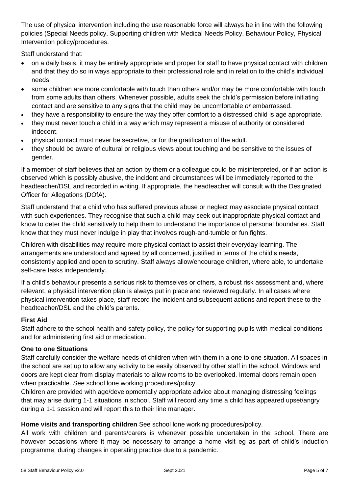The use of physical intervention including the use reasonable force will always be in line with the following policies (Special Needs policy, Supporting children with Medical Needs Policy, Behaviour Policy, Physical Intervention policy/procedures.

Staff understand that:

- on a daily basis, it may be entirely appropriate and proper for staff to have physical contact with children and that they do so in ways appropriate to their professional role and in relation to the child's individual needs.
- some children are more comfortable with touch than others and/or may be more comfortable with touch from some adults than others. Whenever possible, adults seek the child's permission before initiating contact and are sensitive to any signs that the child may be uncomfortable *or* embarrassed.
- they have a responsibility to ensure the way they offer comfort to a distressed child is age appropriate.
- they must never touch a child in a way which may represent a misuse of authority or considered indecent.
- physical contact must never be secretive, or for the gratification of the adult.
- they should be aware of cultural or religious views about touching and be sensitive to the issues of gender.

If a member of staff believes that an action by them or a colleague could be misinterpreted, or if an action is observed which is possibly abusive, the incident and circumstances will be immediately reported to the headteacher/DSL and recorded in writing. If appropriate, the headteacher will consult with the Designated Officer for Allegations (DOfA).

Staff understand that a child who has suffered previous abuse or neglect may associate physical contact with such experiences. They recognise that such a child may seek out inappropriate physical contact and know to deter the child sensitively to help them to understand the importance of personal boundaries. Staff know that they must never indulge in play that involves rough-and-tumble or fun fights.

Children with disabilities may require more physical contact to assist their everyday learning. The arrangements are understood and agreed by all concerned, justified in terms of the child's needs, consistently applied and open to scrutiny. Staff always allow/encourage children, where able, to undertake self-care tasks independently.

If a child's behaviour presents a serious risk to themselves or others, a robust risk assessment and, where relevant, a physical intervention plan is always put in place and reviewed regularly. In all cases where physical intervention takes place, staff record the incident and subsequent actions and report these to the headteacher/DSL and the child's parents.

#### **First Aid**

Staff adhere to the school health and safety policy, the policy for supporting pupils with medical conditions and for administering first aid or medication.

#### **One to one Situations**

Staff carefully consider the welfare needs of children when with them in a one to one situation. All spaces in the school are set up to allow any activity to be easily observed by other staff in the school. Windows and doors are kept clear from display materials to allow rooms to be overlooked. Internal doors remain open when practicable. See school lone working procedures/policy.

Children are provided with age/developmentally appropriate advice about managing distressing feelings that may arise during 1-1 situations in school. Staff will record any time a child has appeared upset/angry during a 1-1 session and will report this to their line manager.

#### **Home visits and transporting children** See school lone working procedures/policy.

All work with children and parents/carers is whenever possible undertaken in the school. There are however occasions where it may be necessary to arrange a home visit eg as part of child's induction programme, during changes in operating practice due to a pandemic.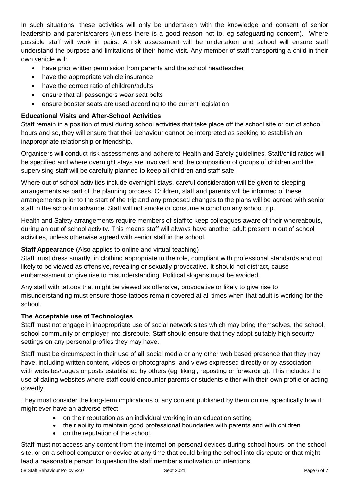In such situations, these activities will only be undertaken with the knowledge and consent of senior leadership and parents/carers (unless there is a good reason not to, eg safeguarding concern). Where possible staff will work in pairs. A risk assessment will be undertaken and school will ensure staff understand the purpose and limitations of their home visit. Any member of staff transporting a child in their own vehicle will:

- have prior written permission from parents and the school headteacher
- have the appropriate vehicle insurance
- have the correct ratio of children/adults
- ensure that all passengers wear seat belts
- ensure booster seats are used according to the current legislation

#### **Educational Visits and After-School Activities**

Staff remain in a position of trust during school activities that take place off the school site or out of school hours and so, they will ensure that their behaviour cannot be interpreted as seeking to establish an inappropriate relationship or friendship.

Organisers will conduct risk assessments and adhere to Health and Safety guidelines. Staff/child ratios will be specified and where overnight stays are involved, and the composition of groups of children and the supervising staff will be carefully planned to keep all children and staff safe.

Where out of school activities include overnight stays, careful consideration will be given to sleeping arrangements as part of the planning process. Children, staff and parents will be informed of these arrangements prior to the start of the trip and any proposed changes to the plans will be agreed with senior staff in the school in advance. Staff will not smoke or consume alcohol on any school trip.

Health and Safety arrangements require members of staff to keep colleagues aware of their whereabouts, during an out of school activity. This means staff will always have another adult present in out of school activities, unless otherwise agreed with senior staff in the school.

#### **Staff Appearance** (Also applies to online and virtual teaching)

Staff must dress smartly, in clothing appropriate to the role, compliant with professional standards and not likely to be viewed as offensive, revealing or sexually provocative. It should not distract, cause embarrassment or give rise to misunderstanding. Political slogans must be avoided.

Any staff with tattoos that might be viewed as offensive, provocative or likely to give rise to misunderstanding must ensure those tattoos remain covered at all times when that adult is working for the school.

#### **The Acceptable use of Technologies**

Staff must not engage in inappropriate use of social network sites which may bring themselves, the school, school community or employer into disrepute. Staff should ensure that they adopt suitably high security settings on any personal profiles they may have.

Staff must be circumspect in their use of **all** social media or any other web based presence that they may have, including written content, videos or photographs, and views expressed directly or by association with websites/pages or posts established by others (eg 'liking', reposting or forwarding). This includes the use of dating websites where staff could encounter parents or students either with their own profile or acting covertly.

They must consider the long-term implications of any content published by them online, specifically how it might ever have an adverse effect:

- on their reputation as an individual working in an education setting
- their ability to maintain good professional boundaries with parents and with children
- on the reputation of the school.

Staff must not access any content from the internet on personal devices during school hours, on the school site, or on a school computer or device at any time that could bring the school into disrepute or that might lead a reasonable person to question the staff member's motivation or intentions.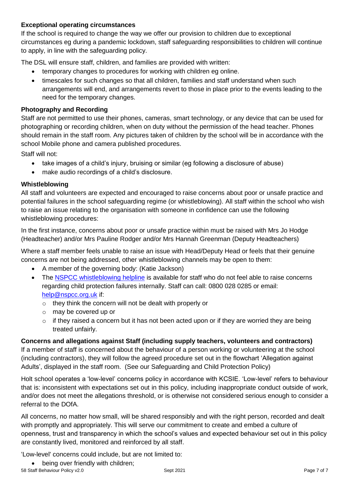#### **Exceptional operating circumstances**

If the school is required to change the way we offer our provision to children due to exceptional circumstances eg during a pandemic lockdown, staff safeguarding responsibilities to children will continue to apply, in line with the safeguarding policy.

The DSL will ensure staff, children, and families are provided with written:

- temporary changes to procedures for working with children eg online.
- timescales for such changes so that all children, families and staff understand when such arrangements will end, and arrangements revert to those in place prior to the events leading to the need for the temporary changes.

#### **Photography and Recording**

Staff are not permitted to use their phones, cameras, smart technology, or any device that can be used for photographing or recording children, when on duty without the permission of the head teacher. Phones should remain in the staff room. Any pictures taken of children by the school will be in accordance with the school Mobile phone and camera published procedures.

Staff will not:

- take images of a child's injury, bruising or similar (eg following a disclosure of abuse)
- make audio recordings of a child's disclosure.

#### **Whistleblowing**

All staff and volunteers are expected and encouraged to raise concerns about poor or unsafe practice and potential failures in the school safeguarding regime (or whistleblowing). All staff within the school who wish to raise an issue relating to the organisation with someone in confidence can use the following whistleblowing procedures:

In the first instance, concerns about poor or unsafe practice within must be raised with Mrs Jo Hodge (Headteacher) and/or Mrs Pauline Rodger and/or Mrs Hannah Greenman (Deputy Headteachers)

Where a staff member feels unable to raise an issue with Head/Deputy Head or feels that their genuine concerns are not being addressed, other whistleblowing channels may be open to them:

- A member of the governing body: (Katie Jackson)
- The [NSPCC whistleblowing helpline](https://www.gov.uk/government/news/home-office-launches-child-abuse-whistleblowing-helpline) is available for staff who do not feel able to raise concerns regarding child protection failures internally. Staff can call: 0800 028 0285 or email: [help@nspcc.org.uk](mailto:help@nspcc.org.uk) if:
	- o they think the concern will not be dealt with properly or
	- o may be covered up or
	- $\circ$  if they raised a concern but it has not been acted upon or if they are worried they are being treated unfairly.

**Concerns and allegations against Staff (including supply teachers, volunteers and contractors)** If a member of staff is concerned about the behaviour of a person working or volunteering at the school (including contractors), they will follow the agreed procedure set out in the flowchart 'Allegation against Adults', displayed in the staff room. (See our Safeguarding and Child Protection Policy)

Holt school operates a 'low-level' concerns policy in accordance with KCSIE. 'Low-level' refers to behaviour that is: inconsistent with expectations set out in this policy, including inappropriate conduct outside of work, and/or does not meet the allegations threshold, or is otherwise not considered serious enough to consider a referral to the DOfA.

All concerns, no matter how small, will be shared responsibly and with the right person, recorded and dealt with promptly and appropriately. This will serve our commitment to create and embed a culture of openness, trust and transparency in which the school's values and expected behaviour set out in this policy are constantly lived, monitored and reinforced by all staff.

'Low-level' concerns could include, but are not limited to: